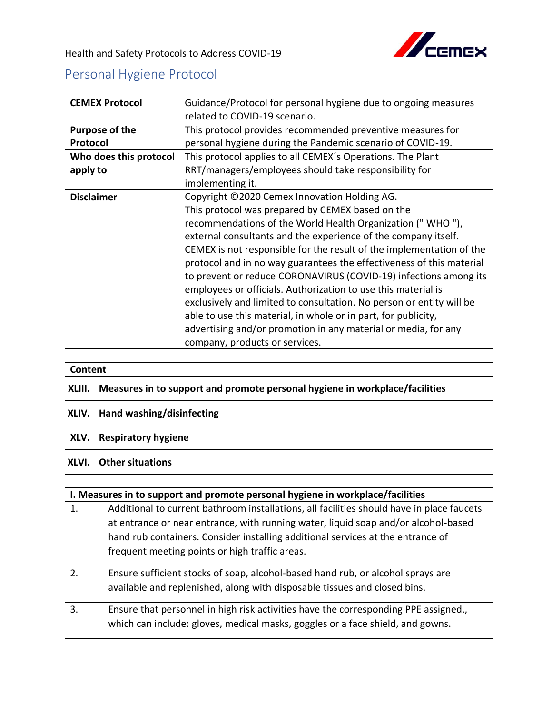

Health and Safety Protocols to Address COVID-19

## Personal Hygiene Protocol

| <b>CEMEX Protocol</b>  | Guidance/Protocol for personal hygiene due to ongoing measures       |
|------------------------|----------------------------------------------------------------------|
|                        | related to COVID-19 scenario.                                        |
| <b>Purpose of the</b>  | This protocol provides recommended preventive measures for           |
| Protocol               | personal hygiene during the Pandemic scenario of COVID-19.           |
| Who does this protocol | This protocol applies to all CEMEX's Operations. The Plant           |
| apply to               | RRT/managers/employees should take responsibility for                |
|                        | implementing it.                                                     |
| <b>Disclaimer</b>      | Copyright ©2020 Cemex Innovation Holding AG.                         |
|                        | This protocol was prepared by CEMEX based on the                     |
|                        | recommendations of the World Health Organization ("WHO"),            |
|                        | external consultants and the experience of the company itself.       |
|                        | CEMEX is not responsible for the result of the implementation of the |
|                        | protocol and in no way guarantees the effectiveness of this material |
|                        | to prevent or reduce CORONAVIRUS (COVID-19) infections among its     |
|                        | employees or officials. Authorization to use this material is        |
|                        | exclusively and limited to consultation. No person or entity will be |
|                        | able to use this material, in whole or in part, for publicity,       |
|                        | advertising and/or promotion in any material or media, for any       |
|                        | company, products or services.                                       |

| Content |                                                                                    |
|---------|------------------------------------------------------------------------------------|
|         | XLIII. Measures in to support and promote personal hygiene in workplace/facilities |
|         | <b>XLIV.</b> Hand washing/disinfecting                                             |
|         | XLV. Respiratory hygiene                                                           |
|         |                                                                                    |

## **XLVI. Other situations**

| I. Measures in to support and promote personal hygiene in workplace/facilities |                                                                                                                                                                       |
|--------------------------------------------------------------------------------|-----------------------------------------------------------------------------------------------------------------------------------------------------------------------|
| 1.                                                                             | Additional to current bathroom installations, all facilities should have in place faucets                                                                             |
|                                                                                | at entrance or near entrance, with running water, liquid soap and/or alcohol-based                                                                                    |
|                                                                                | hand rub containers. Consider installing additional services at the entrance of                                                                                       |
|                                                                                | frequent meeting points or high traffic areas.                                                                                                                        |
| 2.                                                                             | Ensure sufficient stocks of soap, alcohol-based hand rub, or alcohol sprays are                                                                                       |
|                                                                                | available and replenished, along with disposable tissues and closed bins.                                                                                             |
| 3.                                                                             | Ensure that personnel in high risk activities have the corresponding PPE assigned.,<br>which can include: gloves, medical masks, goggles or a face shield, and gowns. |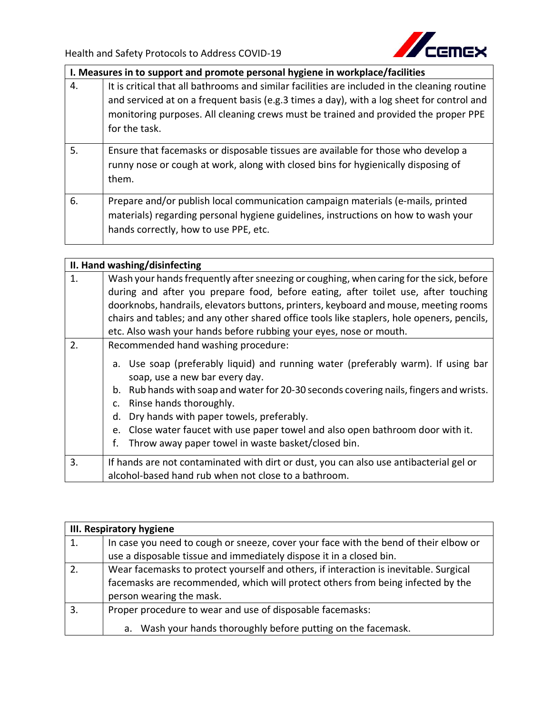

|    | I. Measures in to support and promote personal hygiene in workplace/facilities                                                                                                                                                                                                                     |
|----|----------------------------------------------------------------------------------------------------------------------------------------------------------------------------------------------------------------------------------------------------------------------------------------------------|
| 4. | It is critical that all bathrooms and similar facilities are included in the cleaning routine<br>and serviced at on a frequent basis (e.g.3 times a day), with a log sheet for control and<br>monitoring purposes. All cleaning crews must be trained and provided the proper PPE<br>for the task. |
| 5. | Ensure that facemasks or disposable tissues are available for those who develop a<br>runny nose or cough at work, along with closed bins for hygienically disposing of<br>them.                                                                                                                    |
| 6. | Prepare and/or publish local communication campaign materials (e-mails, printed<br>materials) regarding personal hygiene guidelines, instructions on how to wash your<br>hands correctly, how to use PPE, etc.                                                                                     |

| II. Hand washing/disinfecting |                                                                                                                                                                                                                                                                                                                                                                                                                                                          |
|-------------------------------|----------------------------------------------------------------------------------------------------------------------------------------------------------------------------------------------------------------------------------------------------------------------------------------------------------------------------------------------------------------------------------------------------------------------------------------------------------|
| 1.                            | Wash your hands frequently after sneezing or coughing, when caring for the sick, before                                                                                                                                                                                                                                                                                                                                                                  |
|                               | during and after you prepare food, before eating, after toilet use, after touching                                                                                                                                                                                                                                                                                                                                                                       |
|                               | doorknobs, handrails, elevators buttons, printers, keyboard and mouse, meeting rooms                                                                                                                                                                                                                                                                                                                                                                     |
|                               | chairs and tables; and any other shared office tools like staplers, hole openers, pencils,                                                                                                                                                                                                                                                                                                                                                               |
|                               | etc. Also wash your hands before rubbing your eyes, nose or mouth.                                                                                                                                                                                                                                                                                                                                                                                       |
| 2.                            | Recommended hand washing procedure:                                                                                                                                                                                                                                                                                                                                                                                                                      |
|                               | Use soap (preferably liquid) and running water (preferably warm). If using bar<br>а.<br>soap, use a new bar every day.<br>Rub hands with soap and water for 20-30 seconds covering nails, fingers and wrists.<br>b.<br>Rinse hands thoroughly.<br>c.<br>Dry hands with paper towels, preferably.<br>d.<br>Close water faucet with use paper towel and also open bathroom door with it.<br>e.<br>Throw away paper towel in waste basket/closed bin.<br>f. |
| 3.                            | If hands are not contaminated with dirt or dust, you can also use antibacterial gel or                                                                                                                                                                                                                                                                                                                                                                   |
|                               | alcohol-based hand rub when not close to a bathroom.                                                                                                                                                                                                                                                                                                                                                                                                     |

| <b>III. Respiratory hygiene</b> |                                                                                       |
|---------------------------------|---------------------------------------------------------------------------------------|
| 1.                              | In case you need to cough or sneeze, cover your face with the bend of their elbow or  |
|                                 | use a disposable tissue and immediately dispose it in a closed bin.                   |
| 2.                              | Wear facemasks to protect yourself and others, if interaction is inevitable. Surgical |
|                                 | facemasks are recommended, which will protect others from being infected by the       |
|                                 | person wearing the mask.                                                              |
| 3.                              | Proper procedure to wear and use of disposable facemasks:                             |
|                                 | Wash your hands thoroughly before putting on the facemask.<br>a.                      |